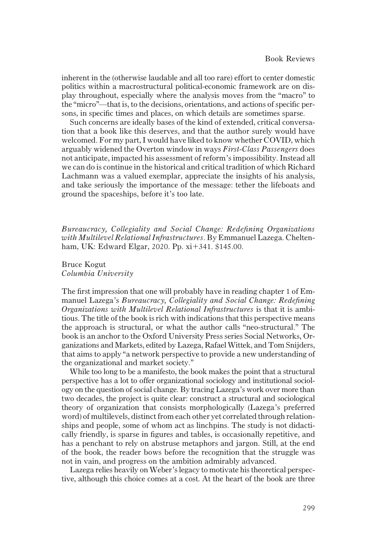inherent in the (otherwise laudable and all too rare) effort to center domestic politics within a macrostructural political-economic framework are on display throughout, especially where the analysis moves from the "macro" to the "micro"—that is, to the decisions, orientations, and actions of specific persons, in specific times and places, on which details are sometimes sparse.

Such concerns are ideally bases of the kind of extended, critical conversation that a book like this deserves, and that the author surely would have welcomed. For my part, I would have liked to know whether COVID, which arguably widened the Overton window in ways First-Class Passengers does not anticipate, impacted his assessment of reform's impossibility. Instead all we can do is continue in the historical and critical tradition of which Richard Lachmann was a valued exemplar, appreciate the insights of his analysis, and take seriously the importance of the message: tether the lifeboats and ground the spaceships, before it's too late.

Bureaucracy, Collegiality and Social Change: Redefining Organizations with Multilevel Relational Infrastructures. By Emmanuel Lazega. Cheltenham, UK: Edward Elgar, 2020. Pp.  $xi+341.$  \$145.00.

Bruce Kogut Columbia University

The first impression that one will probably have in reading chapter 1 of Emmanuel Lazega's Bureaucracy, Collegiality and Social Change: Redefining Organizations with Multilevel Relational Infrastructures is that it is ambitious. The title of the book is rich with indications that this perspective means the approach is structural, or what the author calls "neo-structural." The book is an anchor to the Oxford University Press series Social Networks, Organizations and Markets, edited by Lazega, RafaelWittek, and Tom Snijders, that aims to apply "a network perspective to provide a new understanding of the organizational and market society."

While too long to be a manifesto, the book makes the point that a structural perspective has a lot to offer organizational sociology and institutional sociology on the question of social change. By tracing Lazega's work over more than two decades, the project is quite clear: construct a structural and sociological theory of organization that consists morphologically (Lazega's preferred word) of multilevels, distinct from each other yet correlated through relationships and people, some of whom act as linchpins. The study is not didactically friendly, is sparse in figures and tables, is occasionally repetitive, and has a penchant to rely on abstruse metaphors and jargon. Still, at the end of the book, the reader bows before the recognition that the struggle was not in vain, and progress on the ambition admirably advanced.

Lazega relies heavily on Weber's legacy to motivate his theoretical perspective, although this choice comes at a cost. At the heart of the book are three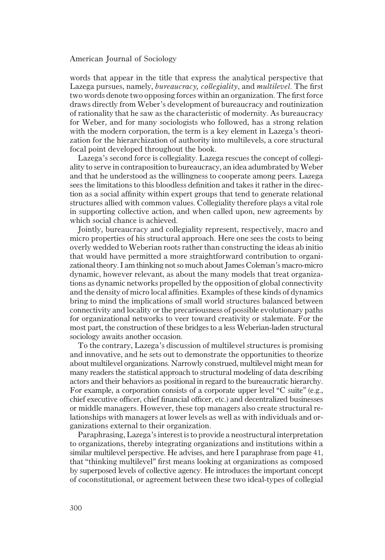## American Journal of Sociology

words that appear in the title that express the analytical perspective that Lazega pursues, namely, bureaucracy, collegiality, and multilevel. The first two words denote two opposing forces within an organization. The first force draws directly from Weber's development of bureaucracy and routinization of rationality that he saw as the characteristic of modernity. As bureaucracy for Weber, and for many sociologists who followed, has a strong relation with the modern corporation, the term is a key element in Lazega's theorization for the hierarchization of authority into multilevels, a core structural focal point developed throughout the book.

Lazega's second force is collegiality. Lazega rescues the concept of collegiality to serve in contraposition to bureaucracy, an idea adumbrated byWeber and that he understood as the willingness to cooperate among peers. Lazega sees the limitations to this bloodless definition and takes it rather in the direction as a social affinity within expert groups that tend to generate relational structures allied with common values. Collegiality therefore plays a vital role in supporting collective action, and when called upon, new agreements by which social chance is achieved.

Jointly, bureaucracy and collegiality represent, respectively, macro and micro properties of his structural approach. Here one sees the costs to being overly wedded to Weberian roots rather than constructing the ideas ab initio that would have permitted a more straightforward contribution to organizational theory. I am thinking not so much about James Coleman's macro-micro dynamic, however relevant, as about the many models that treat organizations as dynamic networks propelled by the opposition of global connectivity and the density of micro local affinities. Examples of these kinds of dynamics bring to mind the implications of small world structures balanced between connectivity and locality or the precariousness of possible evolutionary paths for organizational networks to veer toward creativity or stalemate. For the most part, the construction of these bridges to a less Weberian-laden structural sociology awaits another occasion.

To the contrary, Lazega's discussion of multilevel structures is promising and innovative, and he sets out to demonstrate the opportunities to theorize about multilevel organizations. Narrowly construed, multilevel might mean for many readers the statistical approach to structural modeling of data describing actors and their behaviors as positional in regard to the bureaucratic hierarchy. For example, a corporation consists of a corporate upper level "C suite" (e.g., chief executive officer, chief financial officer, etc.) and decentralized businesses or middle managers. However, these top managers also create structural relationships with managers at lower levels as well as with individuals and organizations external to their organization.

Paraphrasing, Lazega's interest is to provide a neostructural interpretation to organizations, thereby integrating organizations and institutions within a similar multilevel perspective. He advises, and here I paraphrase from page 41, that "thinking multilevel" first means looking at organizations as composed by superposed levels of collective agency. He introduces the important concept of coconstitutional, or agreement between these two ideal-types of collegial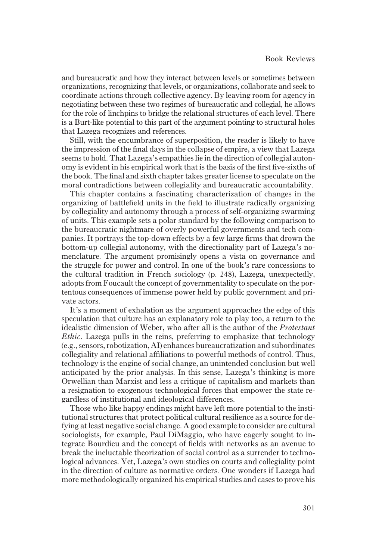and bureaucratic and how they interact between levels or sometimes between organizations, recognizing that levels, or organizations, collaborate and seek to coordinate actions through collective agency. By leaving room for agency in negotiating between these two regimes of bureaucratic and collegial, he allows for the role of linchpins to bridge the relational structures of each level. There is a Burt-like potential to this part of the argument pointing to structural holes that Lazega recognizes and references.

Still, with the encumbrance of superposition, the reader is likely to have the impression of the final days in the collapse of empire, a view that Lazega seems to hold. That Lazega's empathies lie in the direction of collegial autonomy is evident in his empirical work that is the basis of the first five-sixths of the book. The final and sixth chapter takes greater license to speculate on the moral contradictions between collegiality and bureaucratic accountability.

This chapter contains a fascinating characterization of changes in the organizing of battlefield units in the field to illustrate radically organizing by collegiality and autonomy through a process of self-organizing swarming of units. This example sets a polar standard by the following comparison to the bureaucratic nightmare of overly powerful governments and tech companies. It portrays the top-down effects by a few large firms that drown the bottom-up collegial autonomy, with the directionality part of Lazega's nomenclature. The argument promisingly opens a vista on governance and the struggle for power and control. In one of the book's rare concessions to the cultural tradition in French sociology (p. 248), Lazega, unexpectedly, adopts from Foucault the concept of governmentality to speculate on the portentous consequences of immense power held by public government and private actors.

It's a moment of exhalation as the argument approaches the edge of this speculation that culture has an explanatory role to play too, a return to the idealistic dimension of Weber, who after all is the author of the Protestant Ethic. Lazega pulls in the reins, preferring to emphasize that technology (e.g., sensors, robotization, AI) enhances bureaucratization and subordinates collegiality and relational affiliations to powerful methods of control. Thus, technology is the engine of social change, an unintended conclusion but well anticipated by the prior analysis. In this sense, Lazega's thinking is more Orwellian than Marxist and less a critique of capitalism and markets than a resignation to exogenous technological forces that empower the state regardless of institutional and ideological differences.

Those who like happy endings might have left more potential to the institutional structures that protect political cultural resilience as a source for defying at least negative social change. A good example to consider are cultural sociologists, for example, Paul DiMaggio, who have eagerly sought to integrate Bourdieu and the concept of fields with networks as an avenue to break the ineluctable theorization of social control as a surrender to technological advances. Yet, Lazega's own studies on courts and collegiality point in the direction of culture as normative orders. One wonders if Lazega had more methodologically organized his empirical studies and cases to prove his